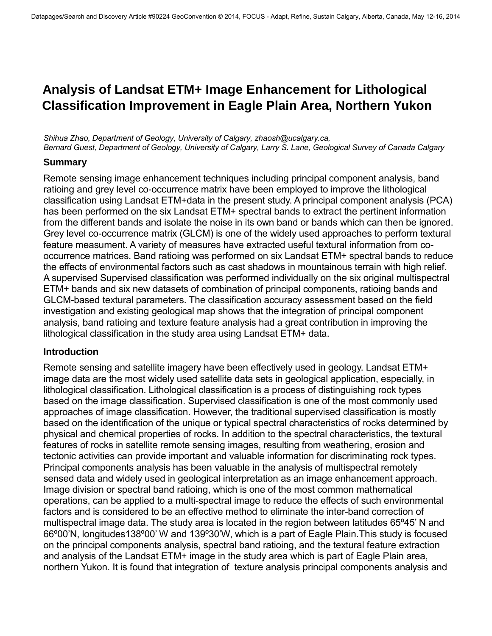# **Analysis of Landsat ETM+ Image Enhancement for Lithological Classification Improvement in Eagle Plain Area, Northern Yukon**

*Shihua Zhao, Department of Geology, University of Calgary, zhaosh@ucalgary.ca, Bernard Guest, Department of Geology, University of Calgary, Larry S. Lane, Geological Survey of Canada Calgary* 

#### **Summary**

Remote sensing image enhancement techniques including principal component analysis, band ratioing and grey level co-occurrence matrix have been employed to improve the lithological classification using Landsat ETM+data in the present study. A principal component analysis (PCA) has been performed on the six Landsat ETM+ spectral bands to extract the pertinent information from the different bands and isolate the noise in its own band or bands which can then be ignored. Grey level co-occurrence matrix (GLCM) is one of the widely used approaches to perform textural feature measument. A variety of measures have extracted useful textural information from cooccurrence matrices. Band ratioing was performed on six Landsat ETM+ spectral bands to reduce the effects of environmental factors such as cast shadows in mountainous terrain with high relief. A supervised Supervised classification was performed individually on the six original multispectral ETM+ bands and six new datasets of combination of principal components, ratioing bands and GLCM-based textural parameters. The classification accuracy assessment based on the field investigation and existing geological map shows that the integration of principal component analysis, band ratioing and texture feature analysis had a great contribution in improving the lithological classification in the study area using Landsat ETM+ data.

#### **Introduction**

Remote sensing and satellite imagery have been effectively used in geology. Landsat ETM+ image data are the most widely used satellite data sets in geological application, especially, in lithological classification. Lithological classification is a process of distinguishing rock types based on the image classification. Supervised classification is one of the most commonly used approaches of image classification. However, the traditional supervised classification is mostly based on the identification of the unique or typical spectral characteristics of rocks determined by physical and chemical properties of rocks. In addition to the spectral characteristics, the textural features of rocks in satellite remote sensing images, resulting from weathering, erosion and tectonic activities can provide important and valuable information for discriminating rock types. Principal components analysis has been valuable in the analysis of multispectral remotely sensed data and widely used in geological interpretation as an image enhancement approach. Image division or spectral band ratioing, which is one of the most common mathematical operations, can be applied to a multi-spectral image to reduce the effects of such environmental factors and is considered to be an effective method to eliminate the inter-band correction of multispectral image data. The study area is located in the region between latitudes 65º45' N and 66º00'N, longitudes138º00' W and 139º30'W, which is a part of Eagle Plain.This study is focused on the principal components analysis, spectral band ratioing, and the textural feature extraction and analysis of the Landsat ETM+ image in the study area which is part of Eagle Plain area, northern Yukon. It is found that integration of texture analysis principal components analysis and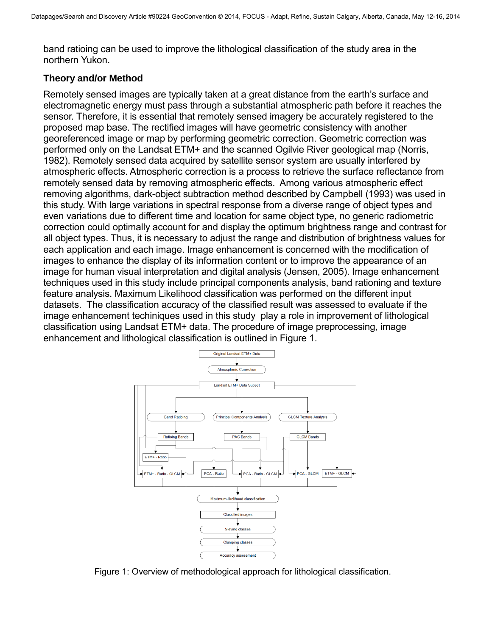band ratioing can be used to improve the lithological classification of the study area in the northern Yukon.

## **Theory and/or Method**

Remotely sensed images are typically taken at a great distance from the earth's surface and electromagnetic energy must pass through a substantial atmospheric path before it reaches the sensor. Therefore, it is essential that remotely sensed imagery be accurately registered to the proposed map base. The rectified images will have geometric consistency with another georeferenced image or map by performing geometric correction. Geometric correction was performed only on the Landsat ETM+ and the scanned Ogilvie River geological map (Norris, 1982). Remotely sensed data acquired by satellite sensor system are usually interfered by atmospheric effects. Atmospheric correction is a process to retrieve the surface reflectance from remotely sensed data by removing atmospheric effects. Among various atmospheric effect removing algorithms, dark-object subtraction method described by Campbell (1993) was used in this study. With large variations in spectral response from a diverse range of object types and even variations due to different time and location for same object type, no generic radiometric correction could optimally account for and display the optimum brightness range and contrast for all object types. Thus, it is necessary to adjust the range and distribution of brightness values for each application and each image. Image enhancement is concerned with the modification of images to enhance the display of its information content or to improve the appearance of an image for human visual interpretation and digital analysis (Jensen, 2005). Image enhancement techniques used in this study include principal components analysis, band rationing and texture feature analysis. Maximum Likelihood classification was performed on the different input datasets. The classification accuracy of the classified result was assessed to evaluate if the image enhancement techiniques used in this study play a role in improvement of lithological classification using Landsat ETM+ data. The procedure of image preprocessing, image enhancement and lithological classification is outlined in Figure 1.



Figure 1: Overview of methodological approach for lithological classification.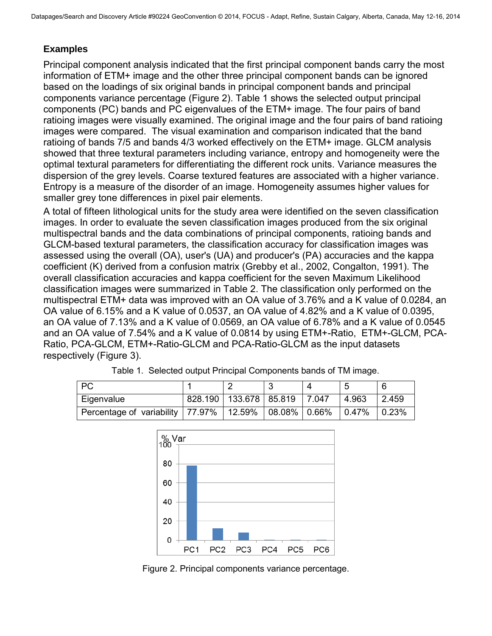# **Examples**

Principal component analysis indicated that the first principal component bands carry the most information of ETM+ image and the other three principal component bands can be ignored based on the loadings of six original bands in principal component bands and principal components variance percentage (Figure 2). Table 1 shows the selected output principal components (PC) bands and PC eigenvalues of the ETM+ image. The four pairs of band ratioing images were visually examined. The original image and the four pairs of band ratioing images were compared. The visual examination and comparison indicated that the band ratioing of bands 7/5 and bands 4/3 worked effectively on the ETM+ image. GLCM analysis showed that three textural parameters including variance, entropy and homogeneity were the optimal textural parameters for differentiating the different rock units. Variance measures the dispersion of the grey levels. Coarse textured features are associated with a higher variance. Entropy is a measure of the disorder of an image. Homogeneity assumes higher values for smaller grey tone differences in pixel pair elements.

A total of fifteen lithological units for the study area were identified on the seven classification images. In order to evaluate the seven classification images produced from the six original multispectral bands and the data combinations of principal components, ratioing bands and GLCM-based textural parameters, the classification accuracy for classification images was assessed using the overall (OA), user's (UA) and producer's (PA) accuracies and the kappa coefficient (K) derived from a confusion matrix (Grebby et al., 2002, Congalton, 1991). The overall classification accuracies and kappa coefficient for the seven Maximum Likelihood classification images were summarized in Table 2. The classification only performed on the multispectral ETM+ data was improved with an OA value of 3.76% and a K value of 0.0284, an OA value of 6.15% and a K value of 0.0537, an OA value of 4.82% and a K value of 0.0395, an OA value of 7.13% and a K value of 0.0569, an OA value of 6.78% and a K value of 0.0545 and an OA value of 7.54% and a K value of 0.0814 by using ETM+-Ratio, ETM+-GLCM, PCA-Ratio, PCA-GLCM, ETM+-Ratio-GLCM and PCA-Ratio-GLCM as the input datasets respectively (Figure 3).

| PC                                 |                                    |  |       |       |
|------------------------------------|------------------------------------|--|-------|-------|
| Eigenvalue                         | 828.190   133.678   85.819   7.047 |  | 4.963 | 2.459 |
| Percentage of variability   77.97% | $\vert$ 12.59%   08.08%   0.66%    |  | 0.47% | 0.23% |

Table 1. Selected output Principal Components bands of TM image.



Figure 2. Principal components variance percentage.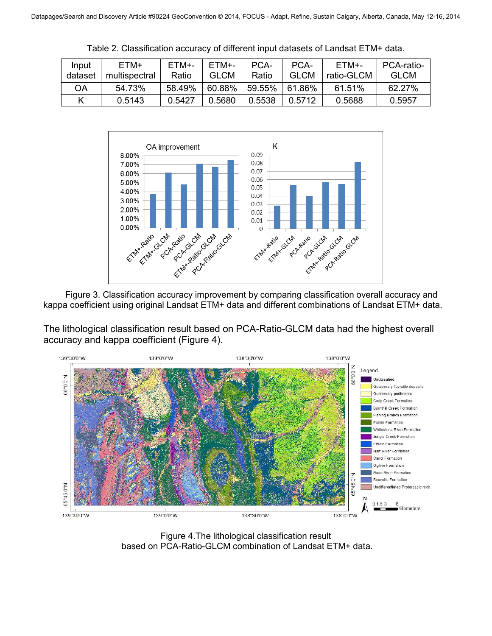| Input<br>dataset | ETM+<br>multispectral | ETM+-<br>Ratio | FTM+-<br><b>GLCM</b> | PCA-<br>Ratio | PCA-<br><b>GLCM</b> | FTM+-<br>ratio-GLCM | PCA-ratio-<br><b>GLCM</b> |
|------------------|-----------------------|----------------|----------------------|---------------|---------------------|---------------------|---------------------------|
| OΑ               | 54.73%                | 58.49%         | 60.88%               | 59.55%        | $61.86\%$           | 61.51%              | 62.27%                    |
| Κ                | 0.5143                | 0.5427         | 0.5680               | 0.5538        | 0.5712              | 0.5688              | 0.5957                    |

Table 2. Classification accuracy of different input datasets of Landsat ETM+ data.



kappa coefficient using original Landsat ETM+ data and different combinations of Landsat ETM+ data.

The lithological classification result based on PCA-Ratio-GLCM data had the highest overall accuracy and kappa coefficient (Figure 4).



Figure 4.The lithological classification result based on PCA-Ratio-GLCM combination of Landsat ETM+ data.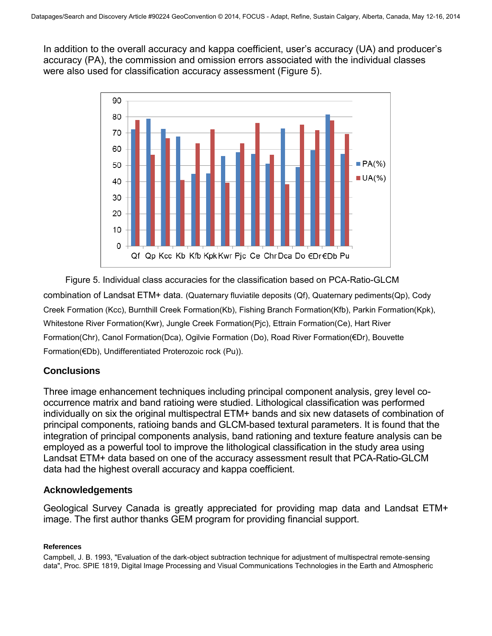In addition to the overall accuracy and kappa coefficient, user's accuracy (UA) and producer's accuracy (PA), the commission and omission errors associated with the individual classes were also used for classification accuracy assessment (Figure 5).



Figure 5. Individual class accuracies for the classification based on PCA-Ratio-GLCM combination of Landsat ETM+ data. (Quaternary fluviatile deposits (Qf), Quaternary pediments(Qp), Cody Creek Formation (Kcc), Burnthill Creek Formation(Kb), Fishing Branch Formation(Kfb), Parkin Formation(Kpk), Whitestone River Formation(Kwr), Jungle Creek Formation(Pjc), Ettrain Formation(Ce), Hart River Formation(Chr), Canol Formation(Dca), Ogilvie Formation (Do), Road River Formation(€Dr), Bouvette Formation(€Db), Undifferentiated Proterozoic rock (Pu)).

## **Conclusions**

Three image enhancement techniques including principal component analysis, grey level cooccurrence matrix and band ratioing were studied. Lithological classification was performed individually on six the original multispectral ETM+ bands and six new datasets of combination of principal components, ratioing bands and GLCM-based textural parameters. It is found that the integration of principal components analysis, band rationing and texture feature analysis can be employed as a powerful tool to improve the lithological classification in the study area using Landsat ETM+ data based on one of the accuracy assessment result that PCA-Ratio-GLCM data had the highest overall accuracy and kappa coefficient.

## **Acknowledgements**

Geological Survey Canada is greatly appreciated for providing map data and Landsat ETM+ image. The first author thanks GEM program for providing financial support.

#### **References**

Campbell, J. B. 1993, "Evaluation of the dark-object subtraction technique for adjustment of multispectral remote-sensing data", Proc. SPIE 1819, Digital Image Processing and Visual Communications Technologies in the Earth and Atmospheric